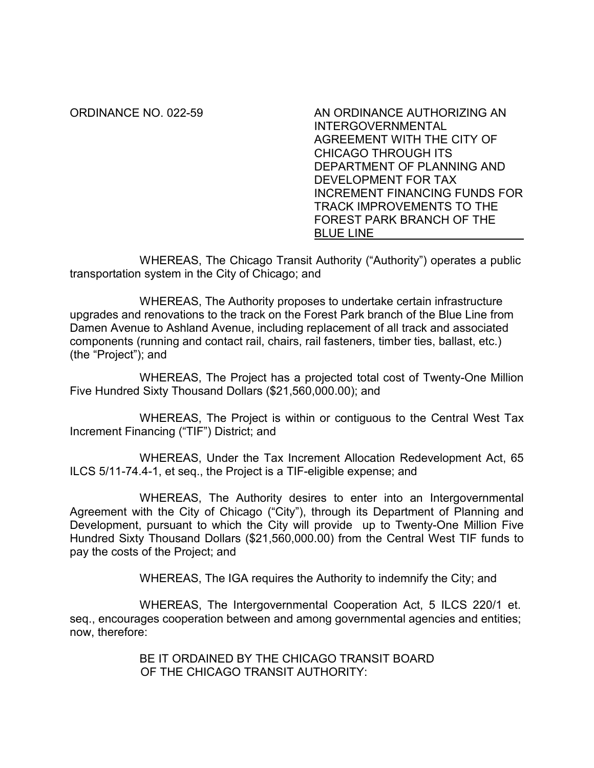ORDINANCE NO. 022-59 AN ORDINANCE AUTHORIZING AN INTERGOVERNMENTAL AGREEMENT WITH THE CITY OF CHICAGO THROUGH ITS DEPARTMENT OF PLANNING AND DEVELOPMENT FOR TAX INCREMENT FINANCING FUNDS FOR TRACK IMPROVEMENTS TO THE FOREST PARK BRANCH OF THE BLUE LINE

WHEREAS, The Chicago Transit Authority ("Authority") operates a public transportation system in the City of Chicago; and

 WHEREAS, The Authority proposes to undertake certain infrastructure upgrades and renovations to the track on the Forest Park branch of the Blue Line from Damen Avenue to Ashland Avenue, including replacement of all track and associated components (running and contact rail, chairs, rail fasteners, timber ties, ballast, etc.) (the "Project"); and

WHEREAS, The Project has a projected total cost of Twenty-One Million Five Hundred Sixty Thousand Dollars (\$21,560,000.00); and

WHEREAS, The Project is within or contiguous to the Central West Tax Increment Financing ("TIF") District; and

WHEREAS, Under the Tax Increment Allocation Redevelopment Act, 65 ILCS 5/11-74.4-1, et seq., the Project is a TIF-eligible expense; and

WHEREAS, The Authority desires to enter into an Intergovernmental Agreement with the City of Chicago ("City"), through its Department of Planning and Development, pursuant to which the City will provide up to Twenty-One Million Five Hundred Sixty Thousand Dollars (\$21,560,000.00) from the Central West TIF funds to pay the costs of the Project; and

WHEREAS, The IGA requires the Authority to indemnify the City; and

WHEREAS, The Intergovernmental Cooperation Act, 5 ILCS 220/1 et. seq., encourages cooperation between and among governmental agencies and entities; now, therefore:

> BE IT ORDAINED BY THE CHICAGO TRANSIT BOARD OF THE CHICAGO TRANSIT AUTHORITY: